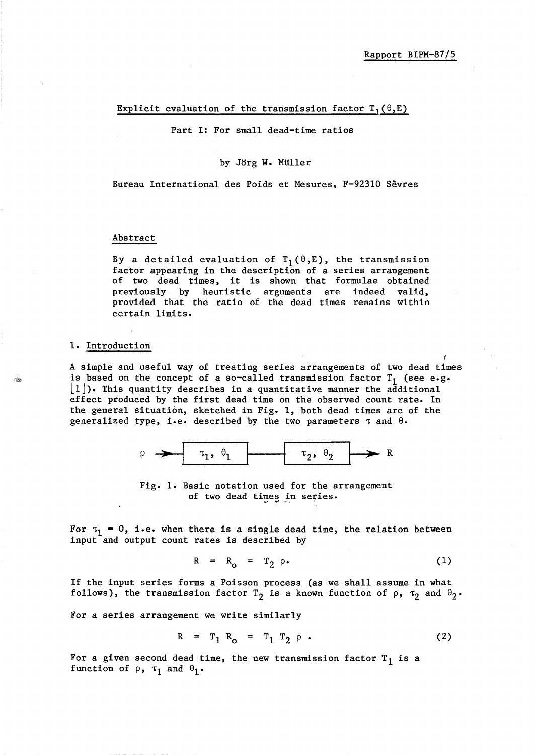## Explicit evaluation of the transmission factor  $T_1(\theta,E)$

Part I: For small dead-time ratios

## by Jorg W. MUller

Bureau International des Poids et Mesures, F-92310 Sevres

## Abstract

By a detailed evaluation of  $T_1(\theta,E)$ , the transmission factor appearing in the description of a series arrangement of two dead times, it is shown that formulae obtained previously by heuristic arguments are indeed valid, provided that the ratio of the dead times remains within certain limits.

## 1. Introduction

A simple and useful way of treating series arrangements of two dead times is based on the concept of a so-called transmission factor  $T_1$  (see e.g.  $\lfloor 1 \rfloor$ ). This quantity describes in a quantitative manner the additional effect produced by the first dead time on the observed count rate. In the general situation, sketched in Fig. 1, both dead times are of the generalized type, i.e. described by the two parameters  $\tau$  and  $\theta$ .



Fig. 1. Basic notation used for the arrangement of two dead times in series.

For  $\tau_1 = 0$ , i.e. when there is a single dead time, the relation between input and output count rates is described by

$$
R = R_0 = T_2 \rho. \tag{1}
$$

If the input series forms a Poisson process (as we shall assume in what follows), the transmission factor  $T_2$  is a known function of  $\rho$ ,  $\tau_2$  and  $\theta_2$ .

For a series arrangement we write similarly

$$
R = T_1 R_0 = T_1 T_2 \rho . \qquad (2)
$$

For a given second dead time, the new transmission factor  $T_1$  is a function of  $\rho$ ,  $\tau_1$  and  $\theta_1$ .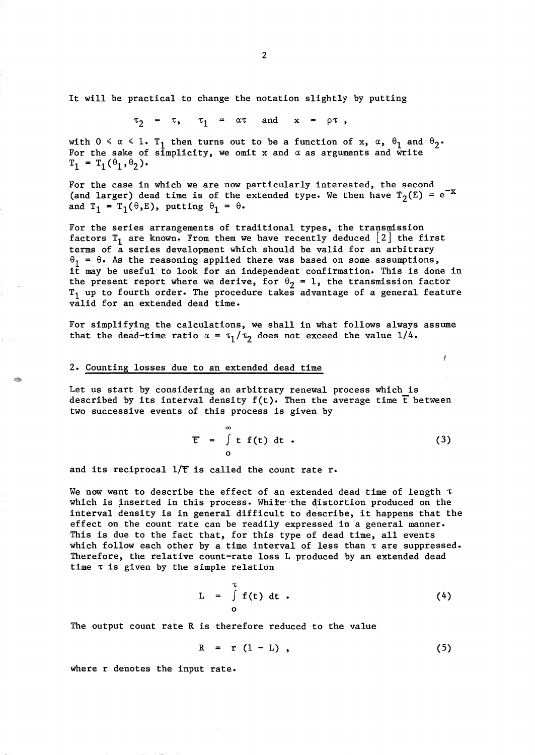It will be practical to change the notation slightly by putting

 $\tau_2 = \tau$ ,  $\tau_1 = \alpha \tau$  and  $x = \rho \tau$ ,

with  $0 \le \alpha \le 1$ . T<sub>1</sub> then turns out to be a function of x,  $\alpha$ ,  $\theta_1$  and  $\theta_2$ . For the sake of simplicity, we omit  $x$  and  $\alpha$  as arguments and write  $T_1 = T_1(\theta_1, \theta_2)$ .

For the case in which we are now particularly interested, the second (and larger) dead time is of the extended type. We then have  $T_2(E) = e^{-x}$ and  $T_1 = T_1(\theta, E)$ , putting  $\theta_1 = \theta$ .

For the series arrangements of traditional types, the transmission factors  $T_1$  are known. From them we have recently deduced  $\lfloor 2 \rfloor$  the first terms of a series development which should be valid for an arbitrary  $\theta_1 = \theta$ . As the reasoning applied there was based on some assumptions, it may be useful to look for an independent confirmation. This is done in the present report where we derive, for  $\theta_2 = 1$ , the transmission factor  $T_1$  up to fourth order. The procedure takes advantage of a general feature valid for an extended dead time.

For simplifying the calculations, we shall in what follows always assume that the dead-time ratio  $\alpha = \tau_1/\tau_2$  does not exceed the value 1/4.

#### 2. Counting losses due to an extended dead time

Let us start by considering an arbitrary renewal process which is described by its interval density  $f(t)$ . Then the average time  $\bar{t}$  between two successive events of this process is given by

$$
\mathbf{E} = \int_{0}^{\infty} \mathbf{t} \mathbf{f}(t) dt . \qquad (3)
$$

Ý

and its reciprocal  $1/\overline{t}$  is called the count rate r.

We now want to describe the effect of an extended dead time of length  $\tau$ which is inserted in this process. While the distortion produced on the interval density is in general difficult to describe, it happens that the effect on the count rate can be readily expressed in a general manner. This is due to the fact that, for this type of dead time, all events which follow each other by a time interval of less than  $\tau$  are suppressed. Therefore, the relative count-rate loss L produced by an extended dead time  $\tau$  is given by the simple relation

$$
L = \int_{0}^{T} f(t) dt . \qquad (4)
$$

The output count rate R is therefore reduced to the value

$$
R = r (1 - L) , \qquad (5)
$$

where r denotes the input rate.

2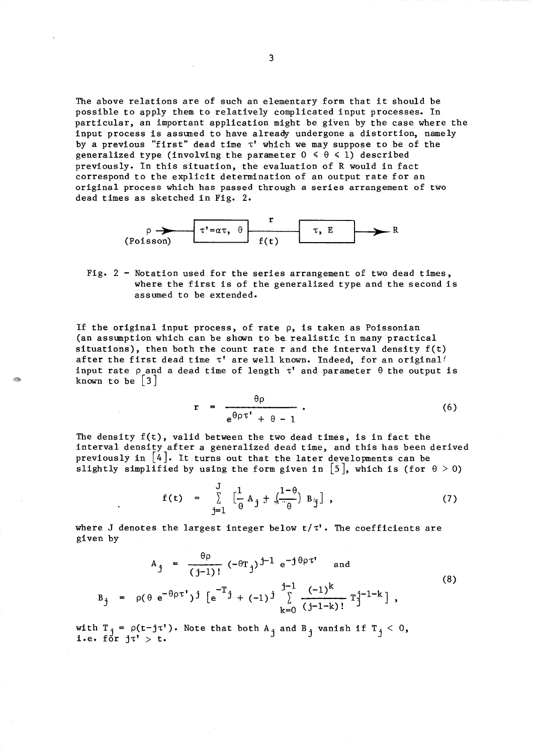The above relations are of such an elementary form that it should be possible to apply them to relatively complicated input processes. In particular, an important application might be given by the case where the input process is assumed to have alreaqy undergone a distortion, namely by a previous "first" dead time  $\tau'$  which we may suppose to be of the generalized type (involving the parameter  $0 \le \theta \le 1$ ) described previously. In this situation, the evaluation of R would in fact correspond to the explicit determination of an output rate for an original process which has passed through a series arrangement of two dead times as sketched in Fig. 2.



Fig. 2 - Notation used for the series arrangement of two dead times, where the first is of the generalized type and the second is assumed to be extended.

If the original input process, of rate  $\rho$ , is taken as Poissonian (an assumption which can be shown to be realistic in many practical situations), then both the count rate  $r$  and the interval density  $f(t)$ after the first dead time  $\tau'$  are well known. Indeed, for an original! input rate  $\rho$  and a dead time of length  $\tau'$  and parameter  $\theta$  the output is known to be  $|3|$ 

$$
r = \frac{\theta \rho}{\Theta \theta \tau^{\dagger} + \theta - 1} \,. \tag{6}
$$

The density  $f(t)$ , valid between the two dead times, is in fact the interval density after a generalized dead time, and this has been derived previously in  $\begin{bmatrix} 4 \end{bmatrix}$ . It turns out that the later developments can be slightly simplified by using the form given in [5], which is (for  $\theta > 0$ )

$$
f(t) = \sum_{j=1}^{J} \left[ \frac{1}{\theta} A_j + \frac{1-\theta}{\theta} B_j \right], \qquad (7)
$$

where J denotes the largest integer below  $t/\tau'$ . The coefficients are given by

$$
A_{j} = \frac{\theta \rho}{(j-1)!} (-\theta T_{j})^{j-1} e^{-j\theta \rho \tau^{t}} \text{ and}
$$
\n
$$
B_{j} = \rho(\theta e^{-\theta \rho \tau^{t}})^{j} [e^{-T}j + (-1)^{j}] \sum_{k=0}^{j-1} \frac{(-1)^{k}}{(j-1-k)!} T_{j}^{j-1-k} ,
$$
\n(8)

with  $T_j = \rho(t-j\tau')$ . Note that both  $A_j$  and  $B_j$  vanish if  $T_j < 0$ , i.e. for  $j\tau' > t$ .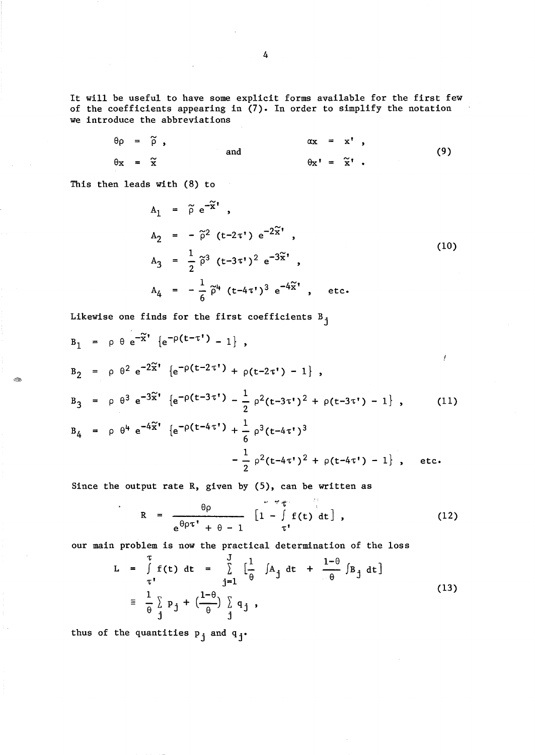It will be useful to have some explicit forms available for the first few of the coefficients appearing in (7). In order to simplify the notation we introduce the abbreviations

$$
\theta \rho = \tilde{\rho} , \qquad \text{and} \qquad \qquad \alpha x = x^t , \qquad (9)
$$
\n
$$
\theta x = \tilde{x} , \qquad \qquad \theta x^t = \tilde{x}^t .
$$

This then leads with (8) to

- City

$$
A_1 = \tilde{\rho} e^{-\tilde{x}'} ,
$$
  
\n
$$
A_2 = -\tilde{\rho}^2 (t - 2\tau') e^{-2\tilde{x}'} ,
$$
  
\n
$$
A_3 = \frac{1}{2} \tilde{\rho}^3 (t - 3\tau')^2 e^{-3\tilde{x}'} ,
$$
  
\n
$$
A_4 = -\frac{1}{6} \tilde{\rho}^4 (t - 4\tau')^3 e^{-4\tilde{x}'} ,
$$
 etc. (10)

Likewise one finds for the first coefficients  $B_{j}$ 

$$
B_1 = \rho \theta e^{-\tilde{x}'} \{e^{-\rho(t-\tau')} - 1\},
$$
  
\n
$$
B_2 = \rho \theta^2 e^{-2\tilde{x}'} \{e^{-\rho(t-2\tau')} + \rho(t-2\tau') - 1\},
$$
  
\n
$$
B_3 = \rho \theta^3 e^{-3\tilde{x}'} \{e^{-\rho(t-3\tau')} - \frac{1}{2} \rho^2(t-3\tau')^2 + \rho(t-3\tau') - 1\},
$$
  
\n
$$
B_4 = \rho \theta^4 e^{-4\tilde{x}'} \{e^{-\rho(t-4\tau')} + \frac{1}{6} \rho^3(t-4\tau')^3 - \frac{1}{2} \rho^2(t-4\tau')^2 + \rho(t-4\tau') - 1\},
$$
 etc.

Since the output rate  $R$ , given by  $(5)$ , can be written as

$$
R = \frac{\theta \rho}{e^{\theta \rho \tau^{\dagger}} + \theta - 1} \left[ 1 - \int_{\tau^{\dagger}}^{\tau} f(t) dt \right],
$$
 (12)

our main problem is now the practical determination of the loss

$$
L = \int_{\tau}^{\tau} f(t) dt = \int_{j=1}^{J} \left[ \frac{1}{\theta} \int A_j dt + \frac{1-\theta}{\theta} \int B_j dt \right]
$$
  

$$
\equiv \frac{1}{\theta} \int_{j}^{L} p_j + \left( \frac{1-\theta}{\theta} \right) \int_{j}^{L} q_j,
$$
 (13)

thus of the quantities  $p_i$  and  $q_i$ .

4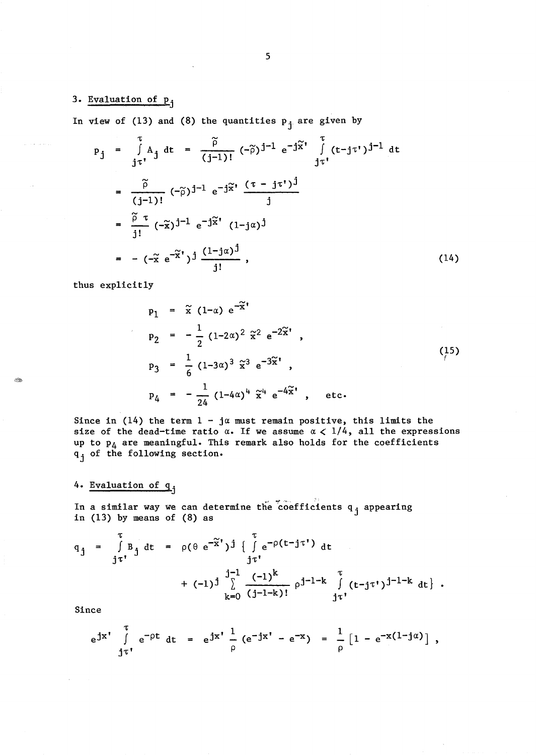3. Evaluation of  $p_j$ 

In view of (13) and (8) the quantities  $p_i$  are given by

$$
p_{j} = \int_{j\tau'}^{T} A_{j} dt = \frac{\tilde{\rho}}{(j-1)!} (-\tilde{\rho})^{j-1} e^{-j\tilde{x}'} \int_{j\tau'}^{T} (t-j\tau')^{j-1} dt
$$
  
\n
$$
= \frac{\tilde{\rho}}{(j-1)!} (-\tilde{\rho})^{j-1} e^{-j\tilde{x}'} \frac{(\tau - j\tau')^{j}}{j}
$$
  
\n
$$
= \frac{\tilde{\rho}}{j!} (-\tilde{x})^{j-1} e^{-j\tilde{x}'} (1-j\alpha)^{j}
$$
  
\n
$$
= -(-\tilde{x} e^{-\tilde{x}'})^{j} \frac{(1-j\alpha)^{j}}{j!}, \qquad (14)
$$

thus explicitly

 $\ll p$ 

 $\hat{\phi}$  is a set  $\hat{\phi}$ 

$$
p_{1} = \tilde{x} (1-\alpha) e^{-\tilde{x}'}\np_{2} = -\frac{1}{2} (1-2\alpha)^{2} \tilde{x}^{2} e^{-2\tilde{x}'}\np_{3} = \frac{1}{6} (1-3\alpha)^{3} \tilde{x}^{3} e^{-3\tilde{x}'}\np_{4} = -\frac{1}{24} (1-4\alpha)^{4} \tilde{x}^{4} e^{-4\tilde{x}'}\netc.
$$
\n(15)

Since in (14) the term  $1 - j\alpha$  must remain positive, this limits the size of the dead-time ratio  $\alpha$ . If we assume  $\alpha < 1/4$ , all the expressions up to  $p_4$  are meaningful. This remark also holds for the coefficients q<sub>j</sub> of the following section.

# 4. Evaluation of qj

In a similar way we can determine the coefficients q<sub>j</sub> appearing in (13) by means of (8) as

$$
q_{j} = \int_{j\tau'}^{T} B_{j} dt = \rho(\theta e^{-\tilde{x}^{\prime}})^{j} \left\{ \int_{j\tau'}^{T} e^{-\rho(t-j\tau')} dt \right. \\
\left. + (-1)^{j} \right\} \sum_{k=0}^{j-1} \frac{(-1)^{k}}{(j-1-k)!} \rho^{j-1-k} \int_{j\tau'}^{T} (t-j\tau')^{j-1-k} dt \right\}.
$$

Since

$$
e^{jx'}
$$
  $\int_{j\tau'}^{\tau} e^{-\rho t} dt = e^{jx'} \frac{1}{\rho} (e^{-jx'} - e^{-x}) = \frac{1}{\rho} [1 - e^{-x(1-j\alpha)}],$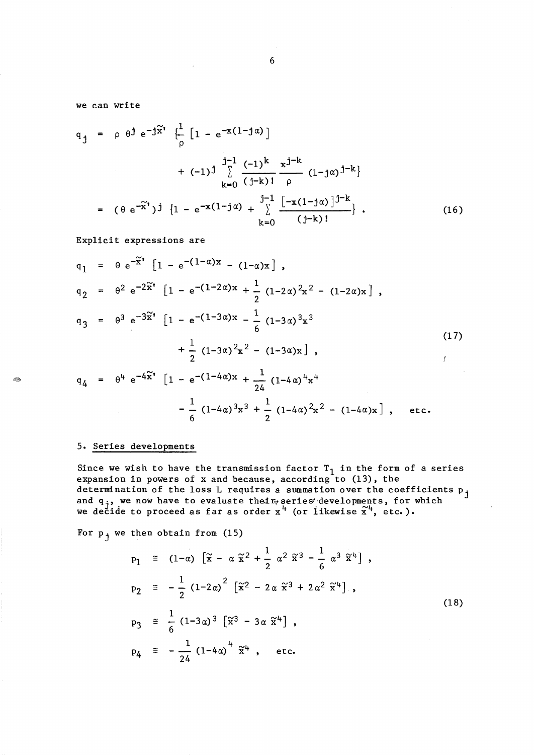we can write

$$
q_{j} = \rho \theta^{j} e^{-j\tilde{x}'} \left\{ \frac{1}{\rho} \left[ 1 - e^{-x(1-j\alpha)} \right] \right\}
$$
  
+  $(-1)^{j} \sum_{k=0}^{j-1} \frac{(-1)^{k}}{(j-k)!} \frac{x^{j-k}}{\rho} (1-j\alpha)^{j-k} \right\}$   
=  $(\theta e^{-\tilde{x}'})^{j} \left\{ 1 - e^{-x(1-j\alpha)} + \sum_{k=0}^{j-1} \frac{[-x(1-j\alpha)]^{j-k}}{(j-k)!} \right\}$ . (16)

Explicit expressions are

$$
q_{1} = \theta e^{-\tilde{x}'} [1 - e^{-(1-\alpha)x} - (1-\alpha)x],
$$
  
\n
$$
q_{2} = \theta^{2} e^{-2\tilde{x}'} [1 - e^{-(1-2\alpha)x} + \frac{1}{2} (1-2\alpha)^{2}x^{2} - (1-2\alpha)x],
$$
  
\n
$$
q_{3} = \theta^{3} e^{-3\tilde{x}'} [1 - e^{-(1-3\alpha)x} - \frac{1}{6} (1-3\alpha)^{3}x^{3} + \frac{1}{2} (1-3\alpha)^{2}x^{2} - (1-3\alpha)x],
$$
  
\n
$$
q_{4} = \theta^{4} e^{-4\tilde{x}'} [1 - e^{-(1-4\alpha)x} + \frac{1}{24} (1-4\alpha)^{4}x^{4} - \frac{1}{6} (1-4\alpha)^{3}x^{3} + \frac{1}{2} (1-4\alpha)^{2}x^{2} - (1-4\alpha)x],
$$
 etc. (11)

## 5. Series developments

Since we wish to have the transmission factor  $T_1$  in the form of a series expansion in powers of x and because, according to  $(13)$ , the determination of the loss L requires a summation over the coefficients  $p_{j}$ and q<sub>j</sub>, we now have to evaluate their series developments, for which we decide to proceed as far as order  $x^4$  (or likewise  $\tilde{x}^4$ , etc.).

For  $p_i$  we then obtain from (15)

$$
p_{1} \cong (1-\alpha) \left[ \tilde{x} - \alpha \tilde{x}^{2} + \frac{1}{2} \alpha^{2} \tilde{x}^{3} - \frac{1}{6} \alpha^{3} \tilde{x}^{4} \right],
$$
  
\n
$$
p_{2} \cong -\frac{1}{2} (1-2\alpha)^{2} \left[ \tilde{x}^{2} - 2\alpha \tilde{x}^{3} + 2\alpha^{2} \tilde{x}^{4} \right],
$$
  
\n
$$
p_{3} \cong \frac{1}{6} (1-3\alpha)^{3} \left[ \tilde{x}^{3} - 3\alpha \tilde{x}^{4} \right],
$$
  
\n
$$
p_{4} \cong -\frac{1}{24} (1-4\alpha)^{4} \tilde{x}^{4}, \text{ etc.}
$$
  
\n(18)

B.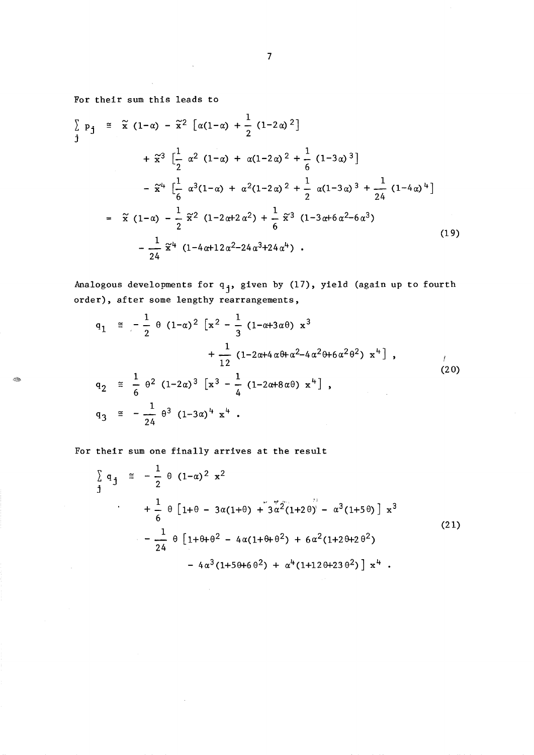For their sum this leads to

For their sum this leads to  
\n
$$
\sum p_j \approx \tilde{x} (1-\alpha) - \tilde{x}^2 [\alpha(1-\alpha) + \frac{1}{2} (1-2\alpha)^2]
$$
\n
$$
+ \tilde{x}^3 \left[ \frac{1}{2} \alpha^2 (1-\alpha) + \alpha(1-2\alpha)^2 + \frac{1}{6} (1-3\alpha)^3 \right]
$$
\n
$$
- \tilde{x}^4 \left[ \frac{1}{6} \alpha^3 (1-\alpha) + \alpha^2 (1-2\alpha)^2 + \frac{1}{2} \alpha (1-3\alpha)^3 + \frac{1}{24} (1-4\alpha)^4 \right]
$$
\n
$$
= \tilde{x} (1-\alpha) - \frac{1}{2} \tilde{x}^2 (1-2\alpha+2\alpha^2) + \frac{1}{6} \tilde{x}^3 (1-3\alpha+6\alpha^2-6\alpha^3)
$$
\n
$$
- \frac{1}{24} \tilde{x}^4 (1-4\alpha+12\alpha^2-24\alpha^3+24\alpha^4) .
$$
\n(19)

Analogous developments for  $q_j$ , given by  $(17)$ , yield (again up to fourth order), after some lengthy rearrangements,

$$
q_{1} \cong -\frac{1}{2} \theta (1-\alpha)^{2} [x^{2} - \frac{1}{3} (1-\alpha+3\alpha\theta) x^{3} + \frac{1}{12} (1-2\alpha+4\alpha\theta+\alpha^{2}-4\alpha^{2}\theta+6\alpha^{2}\theta^{2}) x^{4}],
$$
  
\n
$$
q_{2} \cong \frac{1}{6} \theta^{2} (1-2\alpha)^{3} [x^{3} - \frac{1}{4} (1-2\alpha+8\alpha\theta) x^{4}],
$$
  
\n
$$
q_{3} \cong -\frac{1}{24} \theta^{3} (1-3\alpha)^{4} x^{4}.
$$
  
\n(20)

For their sum one finally arrives at the result

$$
\sum_{j} q_{j} \approx -\frac{1}{2} \theta (1-\alpha)^{2} x^{2}
$$
  
+  $\frac{1}{6} \theta [1+\theta - 3\alpha(1+\theta) + 3\alpha^{2}(1+2\theta) - \alpha^{3}(1+5\theta)] x^{3}$   
-  $\frac{1}{24} \theta [1+\theta+\theta^{2} - 4\alpha(1+\theta+\theta^{2}) + 6\alpha^{2}(1+2\theta+2\theta^{2}) - 4\alpha^{3}(1+5\theta+6\theta^{2}) + \alpha^{4}(1+12\theta+23\theta^{2})] x^{4}$  (21)

 $\mathcal{A}^{\mathcal{G}}$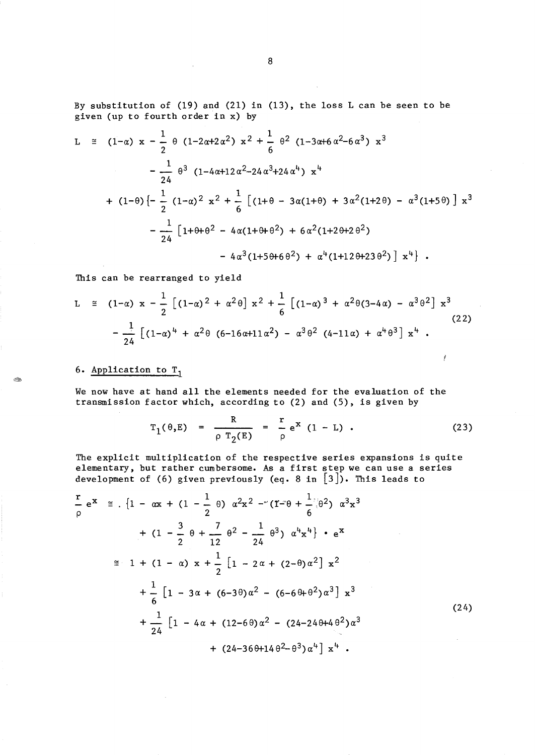By substitution of (19) and (21) in (13), the loss L can be seen to be given (up to fourth order in x) by

$$
L \cong (1-\alpha) x - \frac{1}{2} \theta (1-2\alpha+2\alpha^2) x^2 + \frac{1}{6} \theta^2 (1-3\alpha+6\alpha^2-6\alpha^3) x^3
$$
  

$$
- \frac{1}{24} \theta^3 (1-4\alpha+12\alpha^2-24\alpha^3+24\alpha^4) x^4
$$
  

$$
+ (1-\theta) \left[ -\frac{1}{2} (1-\alpha)^2 x^2 + \frac{1}{6} \left[ (1+\theta - 3\alpha(1+\theta) + 3\alpha^2(1+2\theta) - \alpha^3(1+5\theta) \right] x^3 - \frac{1}{24} \left[ 1+\theta+\theta^2 - 4\alpha(1+\theta+\theta^2) + 6\alpha^2(1+2\theta+2\theta^2) - 4\alpha^3(1+5\theta+6\theta^2) + \alpha^4(1+12\theta+23\theta^2) \right] x^4 \right].
$$

This can be rearranged to yield

$$
L \cong (1-\alpha) x - \frac{1}{2} \left[ (1-\alpha)^2 + \alpha^2 \theta \right] x^2 + \frac{1}{6} \left[ (1-\alpha)^3 + \alpha^2 \theta (3-4\alpha) - \alpha^3 \theta^2 \right] x^3
$$
\n
$$
- \frac{1}{24} \left[ (1-\alpha)^4 + \alpha^2 \theta (6-16\alpha+11\alpha^2) - \alpha^3 \theta^2 (4-11\alpha) + \alpha^4 \theta^3 \right] x^4.
$$
\n(22)

## 6. Application to  $T_1$

N.

We now have at hand all the elements needed for the evaluation of the transmission factor which, according to (2) and (5), is given by

$$
T_1(\theta, E) = \frac{R}{\rho T_2(E)} = \frac{r}{\rho} e^{X} (1 - L)
$$
 (23)

The explicit multiplication of the respective series expansions is quite elementary, but rather cumbersome. As a first step we can use a series development of (6) given previously (eq. 8 in  $[3]$ ). This leads to

$$
\frac{r}{\rho} e^{x} \approx [1 - \alpha x + (1 - \frac{1}{2} \theta) \alpha^{2} x^{2} - (1 - \theta + \frac{1}{6} \theta^{2}) \alpha^{3} x^{3} \n+ (1 - \frac{3}{2} \theta + \frac{7}{12} \theta^{2} - \frac{1}{24} \theta^{3}) \alpha^{4} x^{4}] \cdot e^{x} \n\approx 1 + (1 - \alpha) x + \frac{1}{2} [1 - 2\alpha + (2 - \theta) \alpha^{2}] x^{2} \n+ \frac{1}{6} [1 - 3\alpha + (6 - 3\theta) \alpha^{2} - (6 - 6\theta + \theta^{2}) \alpha^{3}] x^{3} \n+ \frac{1}{24} [1 - 4\alpha + (12 - 6\theta) \alpha^{2} - (24 - 24\theta + 4\theta^{2}) \alpha^{3} \n+ (24 - 36\theta + 14\theta^{2} - \theta^{3}) \alpha^{4}] x^{4} .
$$
\n(24)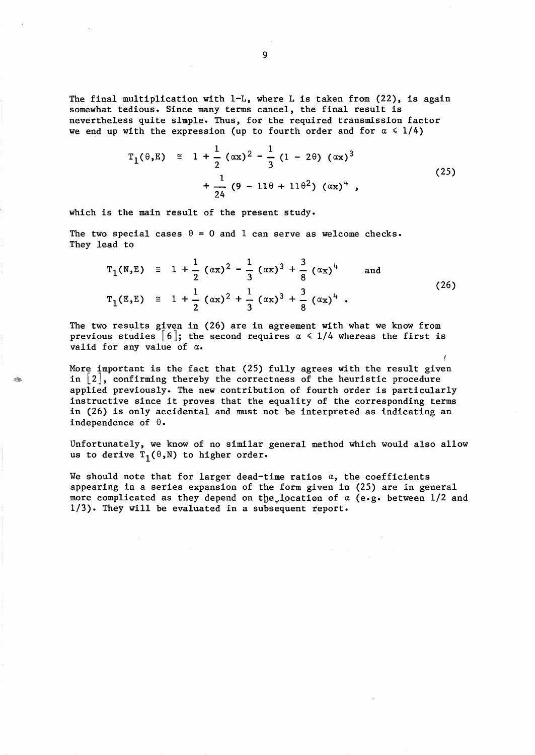The final multiplication with 1-L, where L is taken from (22), is again somewhat tedious. Since many terms cancel, the final result is nevertheless quite simple. Thus, for the required transmission factor we end up with the expression (up to fourth order and for  $\alpha \leq 1/4$ )

$$
T_1(\theta, E) \cong 1 + \frac{1}{2} (\alpha x)^2 - \frac{1}{3} (1 - 2\theta) (\alpha x)^3
$$
  
+ 
$$
\frac{1}{24} (9 - 11\theta + 11\theta^2) (\alpha x)^4 ,
$$
 (25)

which is the main result of the present study.

1M

The two special cases  $\theta = 0$  and 1 can serve as welcome checks. They lead to

$$
T_1(N,E) \cong 1 + \frac{1}{2} (\alpha x)^2 - \frac{1}{3} (\alpha x)^3 + \frac{3}{8} (\alpha x)^4 \quad \text{and}
$$
  

$$
T_1(E,E) \cong 1 + \frac{1}{2} (\alpha x)^2 + \frac{1}{3} (\alpha x)^3 + \frac{3}{8} (\alpha x)^4 .
$$
 (26)

The two results given in (26) are in agreement with what we know from previous studies  $|6|$ ; the second requires  $\alpha \leq 1/4$  whereas the first is valid for any value of *a.* 

More important is the fact that (25) fully agrees with the result given in  $\lfloor 2 \rfloor$ , confirming thereby the correctness of the heuristic procedure applied previously. The new contribution of fourth order is particularly instructive since it proves that the equality of the corresponding terms in (26) is only accidental and must not be interpreted as indicating an independence of  $\theta$ .

Unfortunately, we know of no similar general method which would also allow us to derive  $T_1(\theta,N)$  to higher order.

We should note that for larger dead-time ratios  $\alpha$ , the coefficients appearing in a series expansion of the form given in (25) are in general more complicated as they depend on the location of  $\alpha$  (e.g. between  $1/2$  and 1/3). They will be evaluated in a subsequent report.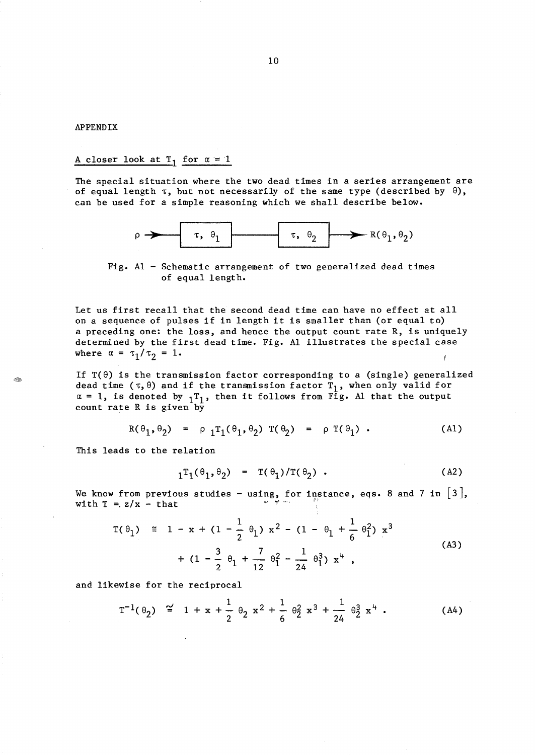#### APPENDIX

1Ô.

## A closer look at  $T_1$  for  $\alpha = 1$

The special situation where the two dead times in a series arrangement are of equal length  $\tau$ , but not necessarily of the same type (described by  $\theta$ ), can be used for a simple reasoning which we shall describe below.



Fig. Al - Schematic arrangement of two generalized dead times of equal length.

Let us first recall that the second dead time can have no effect at all on a sequence of pulses if in length it is smaller than (or equal to) a preceding one: the loss, and hence the output count rate R, is uniquely determined by the first dead time. Fig. Al illustrates the special case where  $\alpha = \tau_1/\tau_2 = 1$ .

If  $T(\theta)$  is the transmission factor corresponding to a (single) generalized dead time ( $\tau$ , $\theta$ ) and if the transmission factor  $T_1$ , when only valid for  $\alpha = 1$ , is denoted by  $1<sup>T</sup>1$ , then it follows from Fig. Al that the output count rate R is given by

$$
R(\theta_1, \theta_2) = \rho_1 T_1(\theta_1, \theta_2) T(\theta_2) = \rho T(\theta_1) .
$$
 (A1)

This leads to the relation

$$
T_1(\theta_1, \theta_2) = T(\theta_1)/T(\theta_2) . \qquad (A2)
$$

We know from previous studies - using, for instance, eqs. 8 and 7 in  $\lceil 3 \rceil$ , with  $T = z/x - \text{that}$ 

$$
= z/x - \text{ that}
$$
\n
$$
T(\theta_1) \cong 1 - x + (1 - \frac{1}{2} \theta_1) x^2 - (1 - \theta_1 + \frac{1}{6} \theta_1^2) x^3
$$
\n
$$
+ (1 - \frac{3}{2} \theta_1 + \frac{7}{12} \theta_1^2 - \frac{1}{24} \theta_1^3) x^4,
$$
\n
$$
\text{ewise for the reciprocal}
$$
\n
$$
T^{-1}(\theta_2) \cong 1 + x + \frac{1}{2} \theta_2 x^2 + \frac{1}{6} \theta_2^2 x^3 + \frac{1}{24} \theta_2^3 x^4.
$$
\n(A4)

and likewise for the reciprocal

$$
T^{-1}(\theta_2) \stackrel{\sim}{=} 1 + x + \frac{1}{2} \theta_2 x^2 + \frac{1}{6} \theta_2^2 x^3 + \frac{1}{24} \theta_2^3 x^4 \tag{A4}
$$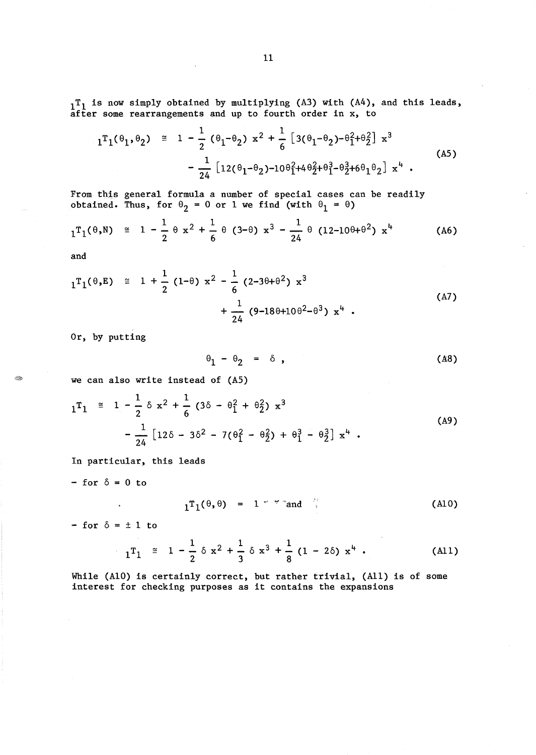$1<sup>T</sup>1$  is now simply obtained by multiplying (A3) with (A4), and this leads, after some rearrangements and up to fourth order in x, to

$$
1^{T}1^{\theta_{1},\theta_{2}} \cong 1 - \frac{1}{2} (\theta_{1} - \theta_{2}) x^{2} + \frac{1}{6} [3(\theta_{1} - \theta_{2}) - \theta_{1}^{2} + \theta_{2}^{2}] x^{3}
$$
  

$$
- \frac{1}{24} [12(\theta_{1} - \theta_{2}) - 10\theta_{1}^{2} + 4\theta_{2}^{2} + \theta_{1}^{3} - \theta_{2}^{3} + 6\theta_{1}\theta_{2}] x^{4} .
$$
 (A5)

From this general formula a number of special cases can be readily obtained. Thus, for  $\theta_2 = 0$  or 1 we find (with  $\theta_1 = \theta$ )

$$
_{1}T_{1}(\theta,N) \cong 1 - \frac{1}{2} \theta x^{2} + \frac{1}{6} \theta (3-\theta) x^{3} - \frac{1}{24} \theta (12-10\theta+\theta^{2}) x^{4}
$$
 (A6)

and

 $\ll_{\mathbb{Z}}$ 

$$
1^{T}1^{\theta,E} \cong 1 + \frac{1}{2} (1-\theta) x^{2} - \frac{1}{6} (2-3\theta+\theta^{2}) x^{3} + \frac{1}{24} (9-18\theta+10\theta^{2}-\theta^{3}) x^{4} .
$$
 (A7)

Or, by putting

$$
\theta_1 - \theta_2 = \delta , \qquad (A8)
$$

we can also write instead of (AS)

$$
1^{T_1} \cong 1 - \frac{1}{2} \delta x^{2} + \frac{1}{6} (3\delta - \theta_{1}^{2} + \theta_{2}^{2}) x^{3}
$$
  

$$
- \frac{1}{24} [12\delta - 3\delta^{2} - 7(\theta_{1}^{2} - \theta_{2}^{2}) + \theta_{1}^{3} - \theta_{2}^{3}] x^{4} .
$$
 (A9)

In particular, this leads

 $-$  for  $\delta = 0$  to

$$
{}_{1}T_{1}(\theta,\theta) = 1 \text{`` "and "}
$$
 (A10)

- for  $\delta = \pm 1$  to

 $\blacksquare$ 

$$
1^{T}1^{\theta,\theta} = 1 \text{ " and } \tag{A10}
$$
  
\n
$$
1^{T}1 \cong 1 - \frac{1}{2} \delta x^{2} + \frac{1}{3} \delta x^{3} + \frac{1}{8} (1 - 2\delta) x^{4}
$$
 (A11)  
\nAs correctly correct, but rather trivial (A11) is of some

While (A10) is certainly correct, but rather trivial, (All) is of some interest for checking purposes as it contains the expansions